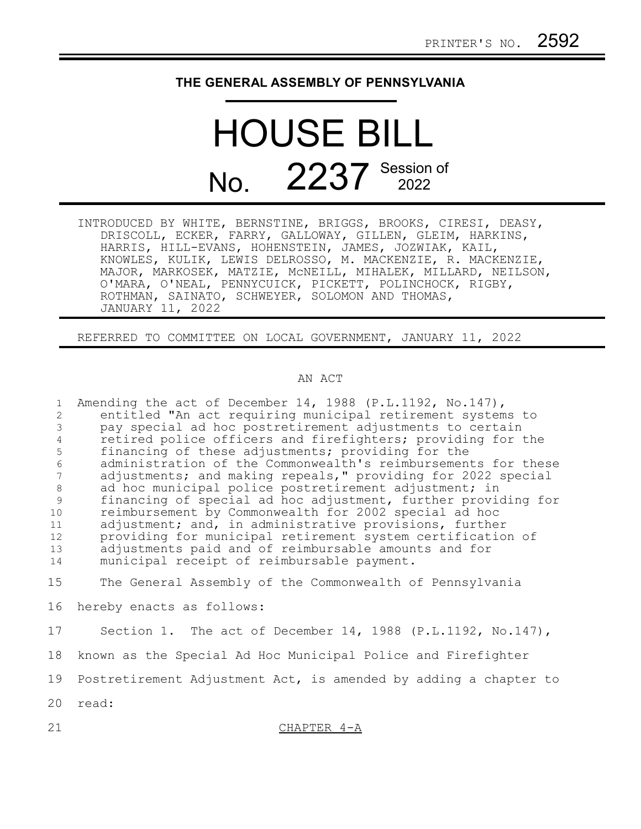## **THE GENERAL ASSEMBLY OF PENNSYLVANIA**

## HOUSE BILL No. 2237 Session of

INTRODUCED BY WHITE, BERNSTINE, BRIGGS, BROOKS, CIRESI, DEASY, DRISCOLL, ECKER, FARRY, GALLOWAY, GILLEN, GLEIM, HARKINS, HARRIS, HILL-EVANS, HOHENSTEIN, JAMES, JOZWIAK, KAIL, KNOWLES, KULIK, LEWIS DELROSSO, M. MACKENZIE, R. MACKENZIE, MAJOR, MARKOSEK, MATZIE, McNEILL, MIHALEK, MILLARD, NEILSON, O'MARA, O'NEAL, PENNYCUICK, PICKETT, POLINCHOCK, RIGBY, ROTHMAN, SAINATO, SCHWEYER, SOLOMON AND THOMAS, JANUARY 11, 2022

REFERRED TO COMMITTEE ON LOCAL GOVERNMENT, JANUARY 11, 2022

## AN ACT

Amending the act of December 14, 1988 (P.L.1192, No.147), entitled "An act requiring municipal retirement systems to pay special ad hoc postretirement adjustments to certain retired police officers and firefighters; providing for the financing of these adjustments; providing for the administration of the Commonwealth's reimbursements for these adjustments; and making repeals," providing for 2022 special ad hoc municipal police postretirement adjustment; in financing of special ad hoc adjustment, further providing for reimbursement by Commonwealth for 2002 special ad hoc adjustment; and, in administrative provisions, further providing for municipal retirement system certification of adjustments paid and of reimbursable amounts and for municipal receipt of reimbursable payment. The General Assembly of the Commonwealth of Pennsylvania hereby enacts as follows: Section 1. The act of December 14, 1988 (P.L.1192, No.147), known as the Special Ad Hoc Municipal Police and Firefighter 1 2 3 4 5 6 7 8 9 10 11 12 13 14 15 16 17 18

Postretirement Adjustment Act, is amended by adding a chapter to 19

read: 20

21

## CHAPTER 4-A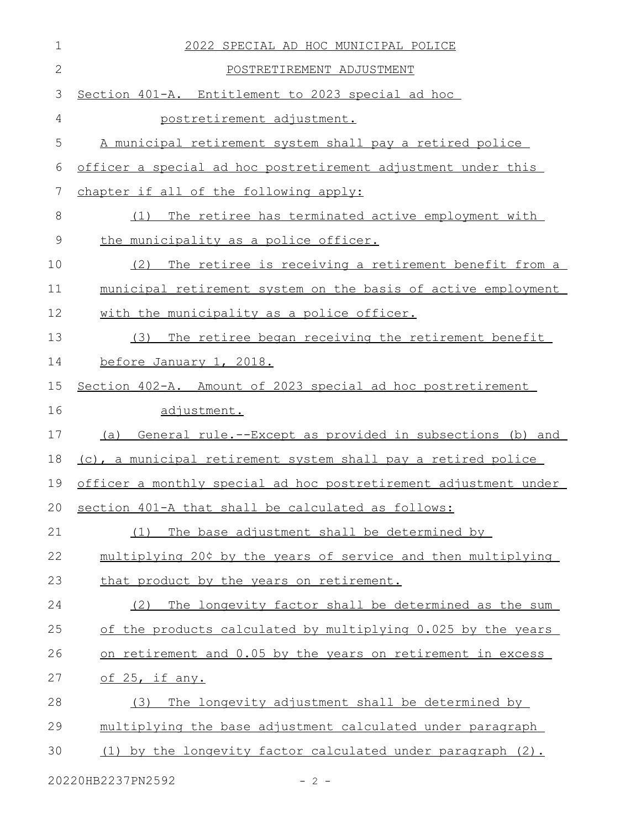| 1            | 2022 SPECIAL AD HOC MUNICIPAL POLICE                             |
|--------------|------------------------------------------------------------------|
| $\mathbf{2}$ | POSTRETIREMENT ADJUSTMENT                                        |
| 3            | Section 401-A. Entitlement to 2023 special ad hoc                |
| 4            | postretirement adjustment.                                       |
| 5            | A municipal retirement system shall pay a retired police         |
| 6            | officer a special ad hoc postretirement adjustment under this    |
| 7            | chapter if all of the following apply:                           |
| 8            | The retiree has terminated active employment with<br>(1)         |
| 9            | the municipality as a police officer.                            |
| 10           | (2)<br>The retiree is receiving a retirement benefit from a      |
| 11           | municipal retirement system on the basis of active employment    |
| 12           | with the municipality as a police officer.                       |
| 13           | The retiree began receiving the retirement benefit<br>(3)        |
| 14           | before January 1, 2018.                                          |
| 15           | Section 402-A. Amount of 2023 special ad hoc postretirement      |
| 16           | adjustment.                                                      |
| 17           | General rule.--Except as provided in subsections (b) and<br>(a)  |
| 18           | (c), a municipal retirement system shall pay a retired police    |
| 19           | officer a monthly special ad hoc postretirement adjustment under |
|              | 20 section 401-A that shall be calculated as follows:            |
| 21           | (1) The base adjustment shall be determined by                   |
| 22           | multiplying 20¢ by the years of service and then multiplying     |
| 23           | that product by the years on retirement.                         |
| 24           | The longevity factor shall be determined as the sum<br>(2)       |
| 25           | of the products calculated by multiplying 0.025 by the years     |
| 26           | on retirement and 0.05 by the years on retirement in excess      |
| 27           | of 25, if any.                                                   |
| 28           | The longevity adjustment shall be determined by<br>(3)           |
| 29           | multiplying the base adjustment calculated under paragraph       |
| 30           | (1) by the longevity factor calculated under paragraph (2).      |
|              | 20220HB2237PN2592<br>$-2 -$                                      |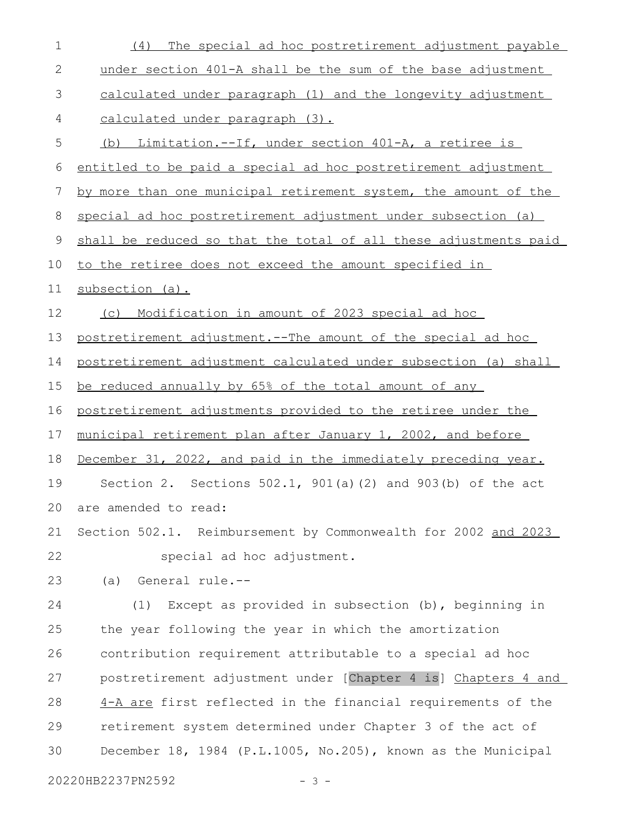| $\mathbf 1$                | The special ad hoc postretirement adjustment payable<br>(4)      |
|----------------------------|------------------------------------------------------------------|
| 2                          | under section 401-A shall be the sum of the base adjustment      |
| 3                          | calculated under paragraph (1) and the longevity adjustment      |
| 4                          | <u>calculated under paragraph (3).</u>                           |
| 5                          | (b) Limitation.--If, under section 401-A, a retiree is           |
| 6                          | entitled to be paid a special ad hoc postretirement adjustment   |
| 7                          | by more than one municipal retirement system, the amount of the  |
| 8                          | special ad hoc postretirement adjustment under subsection (a)    |
| 9                          | shall be reduced so that the total of all these adjustments paid |
| 10                         | to the retiree does not exceed the amount specified in           |
| 11                         | subsection (a).                                                  |
| 12                         | (c) Modification in amount of 2023 special ad hoc                |
| 13                         | postretirement adjustment.--The amount of the special ad hoc     |
| 14                         | postretirement adjustment calculated under subsection (a) shall  |
| 15                         | be reduced annually by 65% of the total amount of any            |
| 16                         | postretirement adjustments provided to the retiree under the     |
| 17                         | municipal retirement plan after January 1, 2002, and before      |
| 18                         | December 31, 2022, and paid in the immediately preceding year.   |
| 19                         | Section 2. Sections 502.1, 901(a)(2) and 903(b) of the act       |
| 20                         | are amended to read:                                             |
| 21                         | Section 502.1. Reimbursement by Commonwealth for 2002 and 2023   |
| 22                         | special ad hoc adjustment.                                       |
| 23                         | General rule.--<br>(a)                                           |
| 24                         | Except as provided in subsection (b), beginning in<br>(1)        |
| 25                         | the year following the year in which the amortization            |
| 26                         | contribution requirement attributable to a special ad hoc        |
| 27                         | postretirement adjustment under [Chapter 4 is] Chapters 4 and    |
| 28                         | 4-A are first reflected in the financial requirements of the     |
| 29                         | retirement system determined under Chapter 3 of the act of       |
| 30                         | December 18, 1984 (P.L.1005, No.205), known as the Municipal     |
| 20220HB2237PN2592<br>$-3-$ |                                                                  |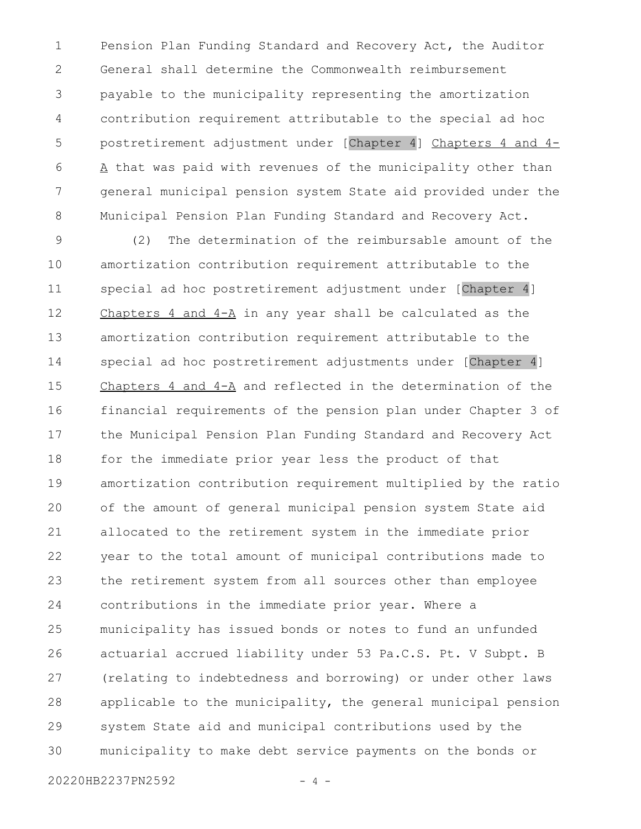Pension Plan Funding Standard and Recovery Act, the Auditor General shall determine the Commonwealth reimbursement payable to the municipality representing the amortization contribution requirement attributable to the special ad hoc postretirement adjustment under [Chapter 4] Chapters 4 and 4- A that was paid with revenues of the municipality other than general municipal pension system State aid provided under the Municipal Pension Plan Funding Standard and Recovery Act. 1 2 3 4 5 6 7 8

(2) The determination of the reimbursable amount of the amortization contribution requirement attributable to the special ad hoc postretirement adjustment under [Chapter 4] Chapters 4 and 4-A in any year shall be calculated as the amortization contribution requirement attributable to the special ad hoc postretirement adjustments under [Chapter 4] Chapters 4 and 4-A and reflected in the determination of the financial requirements of the pension plan under Chapter 3 of the Municipal Pension Plan Funding Standard and Recovery Act for the immediate prior year less the product of that amortization contribution requirement multiplied by the ratio of the amount of general municipal pension system State aid allocated to the retirement system in the immediate prior year to the total amount of municipal contributions made to the retirement system from all sources other than employee contributions in the immediate prior year. Where a municipality has issued bonds or notes to fund an unfunded actuarial accrued liability under 53 Pa.C.S. Pt. V Subpt. B (relating to indebtedness and borrowing) or under other laws applicable to the municipality, the general municipal pension system State aid and municipal contributions used by the municipality to make debt service payments on the bonds or 9 10 11 12 13 14 15 16 17 18 19 20 21 22 23 24 25 26 27 28 29 30

20220HB2237PN2592 - 4 -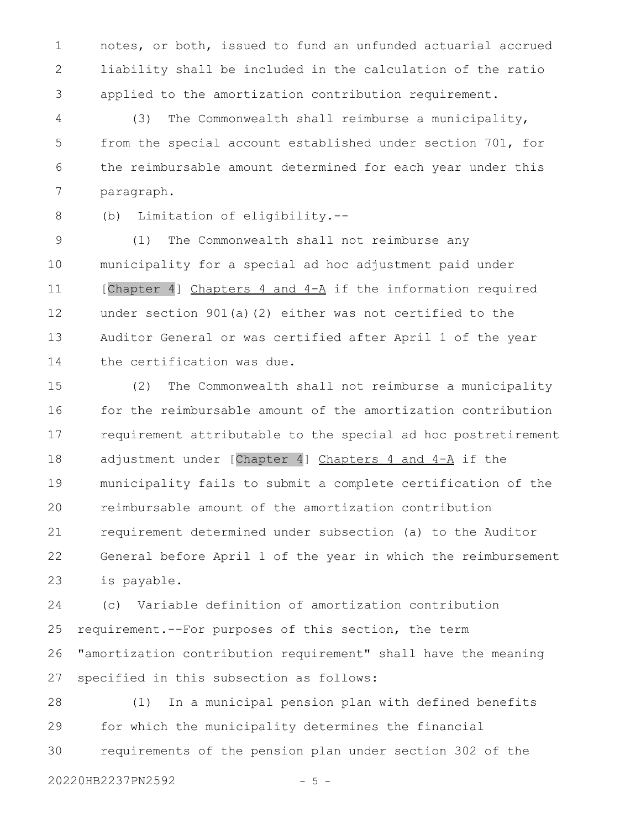notes, or both, issued to fund an unfunded actuarial accrued liability shall be included in the calculation of the ratio applied to the amortization contribution requirement. 1 2 3

(3) The Commonwealth shall reimburse a municipality, from the special account established under section 701, for the reimbursable amount determined for each year under this paragraph. 4 5 6 7

8

(b) Limitation of eligibility.--

(1) The Commonwealth shall not reimburse any municipality for a special ad hoc adjustment paid under [Chapter 4] Chapters 4 and 4-A if the information required under section  $901(a)(2)$  either was not certified to the Auditor General or was certified after April 1 of the year the certification was due. 9 10 11 12 13 14

(2) The Commonwealth shall not reimburse a municipality for the reimbursable amount of the amortization contribution requirement attributable to the special ad hoc postretirement adjustment under [Chapter 4] Chapters 4 and 4-A if the municipality fails to submit a complete certification of the reimbursable amount of the amortization contribution requirement determined under subsection (a) to the Auditor General before April 1 of the year in which the reimbursement is payable. 15 16 17 18 19 20 21 22 23

(c) Variable definition of amortization contribution requirement.--For purposes of this section, the term "amortization contribution requirement" shall have the meaning specified in this subsection as follows: 24 25 26 27

(1) In a municipal pension plan with defined benefits for which the municipality determines the financial requirements of the pension plan under section 302 of the 28 29 30

20220HB2237PN2592 - 5 -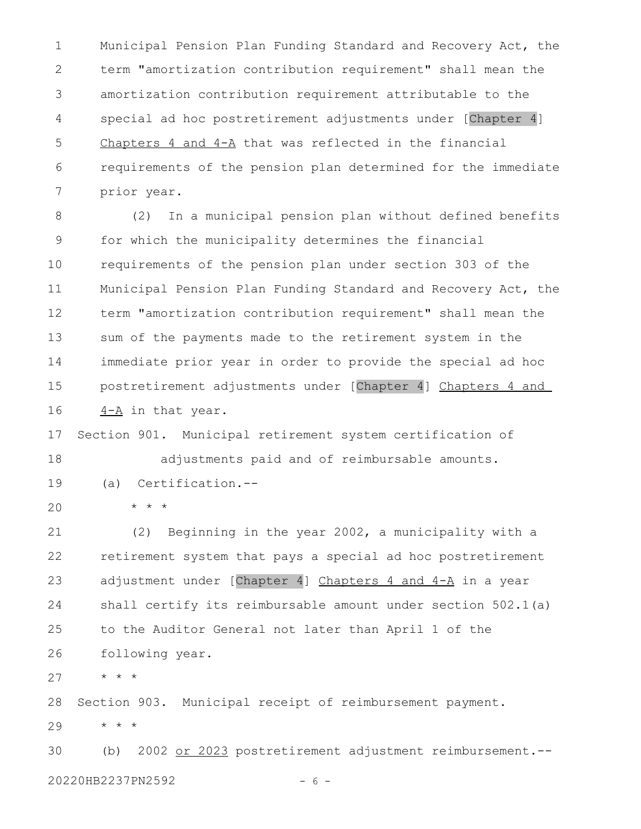Municipal Pension Plan Funding Standard and Recovery Act, the term "amortization contribution requirement" shall mean the amortization contribution requirement attributable to the special ad hoc postretirement adjustments under [Chapter 4] Chapters 4 and 4-A that was reflected in the financial requirements of the pension plan determined for the immediate prior year. 1 2 3 4 5 6 7

(2) In a municipal pension plan without defined benefits for which the municipality determines the financial requirements of the pension plan under section 303 of the Municipal Pension Plan Funding Standard and Recovery Act, the term "amortization contribution requirement" shall mean the sum of the payments made to the retirement system in the immediate prior year in order to provide the special ad hoc postretirement adjustments under [Chapter 4] Chapters 4 and 4-A in that year. 8 9 10 11 12 13 14 15 16

Section 901. Municipal retirement system certification of adjustments paid and of reimbursable amounts. 17 18

(a) Certification.-- 19

\* \* \* 20

(2) Beginning in the year 2002, a municipality with a retirement system that pays a special ad hoc postretirement adjustment under [Chapter 4] Chapters 4 and 4-A in a year shall certify its reimbursable amount under section 502.1(a) to the Auditor General not later than April 1 of the following year. 21 22 23 24 25 26

\* \* \* 27

Section 903. Municipal receipt of reimbursement payment. \* \* \* 28 29

(b) 2002 or 2023 postretirement adjustment reimbursement.--20220HB2237PN2592 - 6 - 30